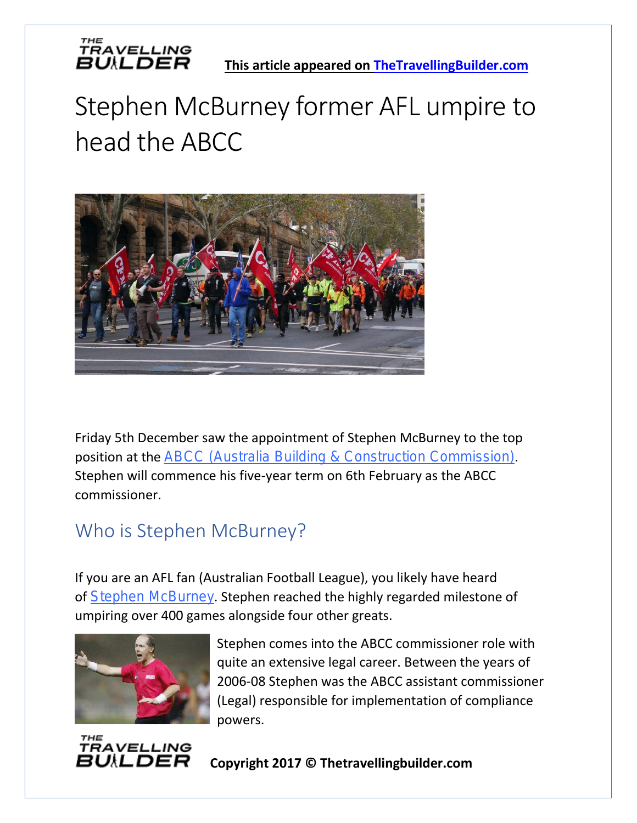

## Stephen McBurney former AFL umpire to head the ABCC



Friday 5th December saw the appointment of Stephen McBurney to the top position at the [ABCC \(Australia Building & Construction Commission\)](https://www.abcc.gov.au/). Stephen will commence his five-year term on 6th February as the ABCC commissioner.

#### Who is Stephen McBurney?

If you are an AFL fan (Australian Football League), you likely have heard of [Stephen McBurney](https://en.wikipedia.org/wiki/Stephen_McBurney). Stephen reached the highly regarded milestone of umpiring over 400 games alongside four other greats.



Stephen comes into the ABCC commissioner role with quite an extensive legal career. Between the years of 2006-08 Stephen was the ABCC assistant commissioner (Legal) responsible for implementation of compliance powers.



**Copyright 2017 © Thetravellingbuilder.com**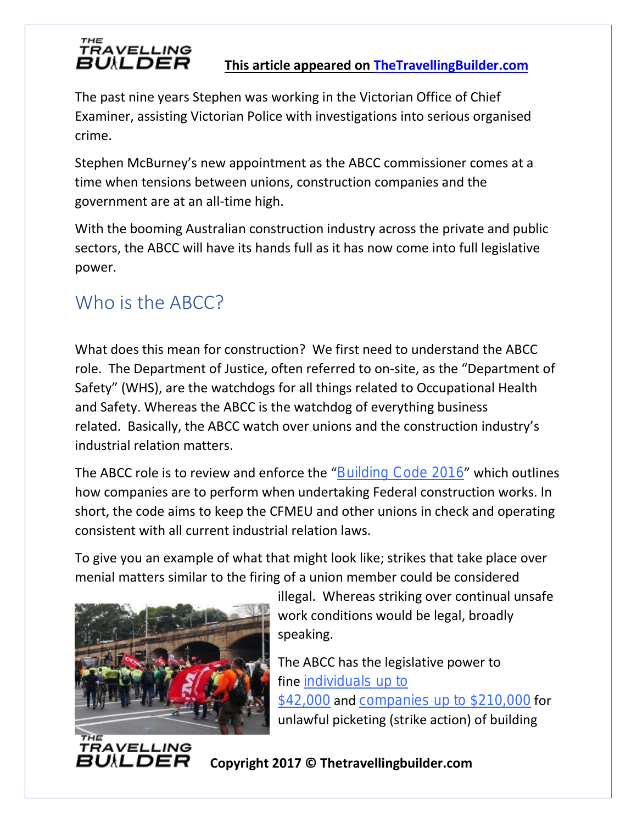THE<br>TRAVELLING<br>**日U***\***LDER** This article appeared on [TheTravellingBuilder.com](https://www.thetravellingbuilder.com/)

The past nine years Stephen was working in the Victorian Office of Chief Examiner, assisting Victorian Police with investigations into serious organised crime.

Stephen McBurney's new appointment as the ABCC commissioner comes at a time when tensions between unions, construction companies and the government are at an all-time high.

With the booming Australian construction industry across the private and public sectors, the ABCC will have its hands full as it has now come into full legislative power.

### Who is the ABCC?

What does this mean for construction? We first need to understand the ABCC role. The Department of Justice, often referred to on-site, as the "Department of Safety" (WHS), are the watchdogs for all things related to Occupational Health and Safety. Whereas the ABCC is the watchdog of everything business related. Basically, the ABCC watch over unions and the construction industry's industrial relation matters.

The ABCC role is to review and enforce the "[Building Code 2016](https://www.abcc.gov.au/building-code/building-code-2016)" which outlines how companies are to perform when undertaking Federal construction works. In short, the code aims to keep the CFMEU and other unions in check and operating consistent with all current industrial relation laws.

To give you an example of what that might look like; strikes that take place over menial matters similar to the firing of a union member could be considered



RAVELLING BUILDER

illegal. Whereas striking over continual unsafe work conditions would be legal, broadly speaking.

The ABCC has the legislative power to fine individuals up to [\\$42,000](https://www.abcc.gov.au/rights-and-responsibilities/unlawful-pickets) and [companies up to \\$210,000](https://www.abcc.gov.au/rights-and-responsibilities/unlawful-pickets) for unlawful picketing (strike action) of building

#### **Copyright 2017 © Thetravellingbuilder.com**